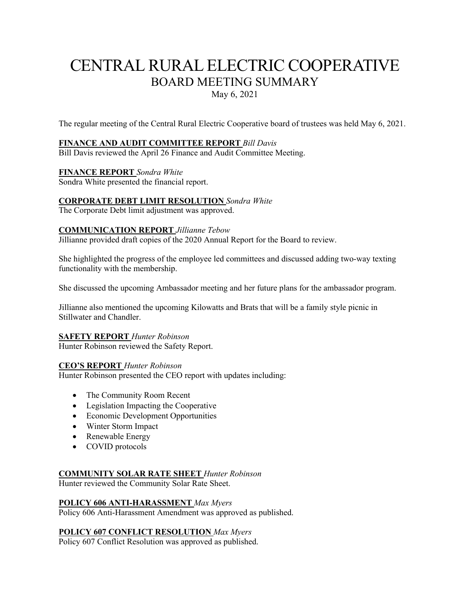# CENTRAL RURAL ELECTRIC COOPERATIVE BOARD MEETING SUMMARY

May 6, 2021

The regular meeting of the Central Rural Electric Cooperative board of trustees was held May 6, 2021.

# **FINANCE AND AUDIT COMMITTEE REPORT** *Bill Davis*

Bill Davis reviewed the April 26 Finance and Audit Committee Meeting.

# **FINANCE REPORT** *Sondra White*

Sondra White presented the financial report.

# **CORPORATE DEBT LIMIT RESOLUTION** *Sondra White*

The Corporate Debt limit adjustment was approved.

## **COMMUNICATION REPORT** *Jillianne Tebow*

Jillianne provided draft copies of the 2020 Annual Report for the Board to review.

She highlighted the progress of the employee led committees and discussed adding two-way texting functionality with the membership.

She discussed the upcoming Ambassador meeting and her future plans for the ambassador program.

Jillianne also mentioned the upcoming Kilowatts and Brats that will be a family style picnic in Stillwater and Chandler.

## **SAFETY REPORT** *Hunter Robinson*

Hunter Robinson reviewed the Safety Report.

## **CEO'S REPORT** *Hunter Robinson*

Hunter Robinson presented the CEO report with updates including:

- The Community Room Recent
- Legislation Impacting the Cooperative
- Economic Development Opportunities
- Winter Storm Impact
- Renewable Energy
- COVID protocols

## **COMMUNITY SOLAR RATE SHEET** *Hunter Robinson*

Hunter reviewed the Community Solar Rate Sheet.

# **POLICY 606 ANTI-HARASSMENT** *Max Myers*

Policy 606 Anti-Harassment Amendment was approved as published.

# **POLICY 607 CONFLICT RESOLUTION** *Max Myers*

Policy 607 Conflict Resolution was approved as published.